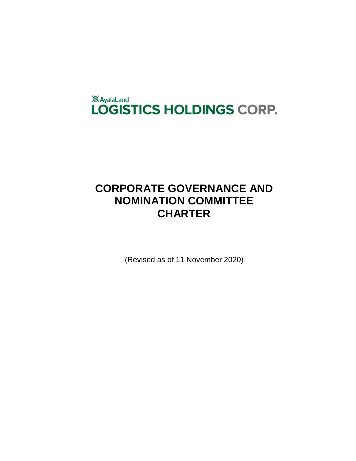

# **CORPORATE GOVERNANCE AND NOMINATION COMMITTEE CHARTER**

(Revised as of 11 November 2020)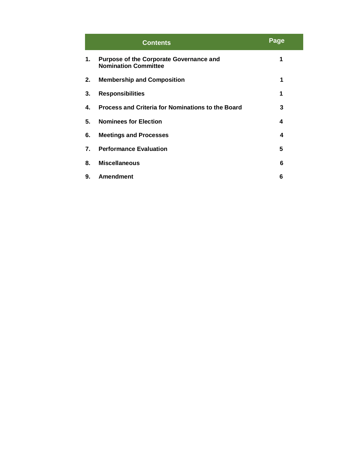|    | <b>Contents</b>                                                               | <b>Page</b> |
|----|-------------------------------------------------------------------------------|-------------|
| 1. | <b>Purpose of the Corporate Governance and</b><br><b>Nomination Committee</b> | 1           |
| 2. | <b>Membership and Composition</b>                                             | 1           |
| 3. | <b>Responsibilities</b>                                                       | 1           |
| 4. | Process and Criteria for Nominations to the Board                             | 3           |
| 5. | <b>Nominees for Election</b>                                                  | 4           |
| 6. | <b>Meetings and Processes</b>                                                 | 4           |
| 7. | <b>Performance Evaluation</b>                                                 | 5           |
| 8. | <b>Miscellaneous</b>                                                          | 6           |
| 9. | <b>Amendment</b>                                                              | 6           |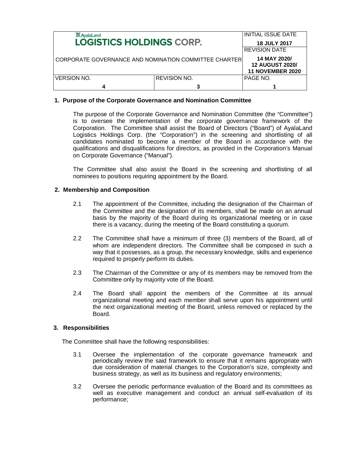| <b>XX</b> AyalaLand<br><b>LOGISTICS HOLDINGS CORP.</b> |                     | <b>INITIAL ISSUE DATE</b>                         |
|--------------------------------------------------------|---------------------|---------------------------------------------------|
|                                                        |                     | <b>18 JULY 2017</b>                               |
|                                                        |                     | <b>REVISION DATE</b>                              |
| CORPORATE GOVERNANCE AND NOMINATION COMMITTEE CHARTER  |                     | 14 MAY 2020/                                      |
|                                                        |                     | <b>12 AUGUST 2020/</b><br><b>11 NOVEMBER 2020</b> |
| <b>VERSION NO.</b>                                     | <b>REVISION NO.</b> | PAGE NO.                                          |
|                                                        | 3                   |                                                   |

## **1. Purpose of the Corporate Governance and Nomination Committee**

The purpose of the Corporate Governance and Nomination Committee (the "Committee") is to oversee the implementation of the corporate governance framework of the Corporation. The Committee shall assist the Board of Directors ("Board") of AyalaLand Logistics Holdings Corp. (the "Corporation") in the screening and shortlisting of all candidates nominated to become a member of the Board in accordance with the qualifications and disqualifications for directors, as provided in the Corporation's Manual on Corporate Governance ("Manual").

The Committee shall also assist the Board in the screening and shortlisting of all nominees to positions requiring appointment by the Board.

## **2. Membership and Composition**

- 2.1 The appointment of the Committee, including the designation of the Chairman of the Committee and the designation of its members, shall be made on an annual basis by the majority of the Board during its organizational meeting or in case there is a vacancy, during the meeting of the Board constituting a quorum.
- 2.2 The Committee shall have a minimum of three (3) members of the Board, all of whom are independent directors. The Committee shall be composed in such a way that it possesses, as a group, the necessary knowledge, skills and experience required to properly perform its duties.
- 2.3 The Chairman of the Committee or any of its members may be removed from the Committee only by majority vote of the Board.
- 2.4 The Board shall appoint the members of the Committee at its annual organizational meeting and each member shall serve upon his appointment until the next organizational meeting of the Board, unless removed or replaced by the Board.

### **3. Responsibilities**

The Committee shall have the following responsibilities:

- 3.1 Oversee the implementation of the corporate governance framework and periodically review the said framework to ensure that it remains appropriate with due consideration of material changes to the Corporation's size, complexity and business strategy, as well as its business and regulatory environments;
- 3.2 Oversee the periodic performance evaluation of the Board and its committees as well as executive management and conduct an annual self-evaluation of its performance;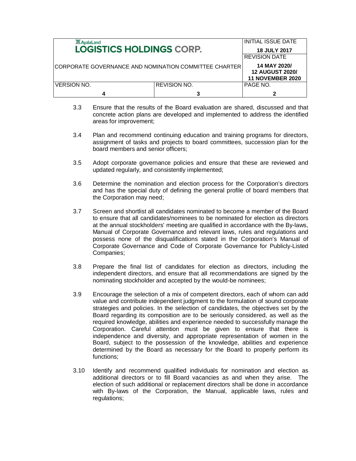| <b>XX</b> AyalaLand<br><b>LOGISTICS HOLDINGS CORP.</b> |                     | INITIAL ISSUE DATE                                                |
|--------------------------------------------------------|---------------------|-------------------------------------------------------------------|
|                                                        |                     | <b>18 JULY 2017</b>                                               |
|                                                        |                     | <b>REVISION DATE</b>                                              |
| CORPORATE GOVERNANCE AND NOMINATION COMMITTEE CHARTER  |                     | 14 MAY 2020/<br><b>12 AUGUST 2020/</b><br><b>11 NOVEMBER 2020</b> |
| <b>VERSION NO.</b>                                     | <b>REVISION NO.</b> | PAGE NO.                                                          |
|                                                        |                     |                                                                   |

- 3.3 Ensure that the results of the Board evaluation are shared, discussed and that concrete action plans are developed and implemented to address the identified areas for improvement;
- 3.4 Plan and recommend continuing education and training programs for directors, assignment of tasks and projects to board committees, succession plan for the board members and senior officers;
- 3.5 Adopt corporate governance policies and ensure that these are reviewed and updated regularly, and consistently implemented;
- 3.6 Determine the nomination and election process for the Corporation's directors and has the special duty of defining the general profile of board members that the Corporation may need;
- 3.7 Screen and shortlist all candidates nominated to become a member of the Board to ensure that all candidates/nominees to be nominated for election as directors at the annual stockholders' meeting are qualified in accordance with the By-laws, Manual of Corporate Governance and relevant laws, rules and regulations and possess none of the disqualifications stated in the Corporation's Manual of Corporate Governance and Code of Corporate Governance for Publicly-Listed Companies;
- 3.8 Prepare the final list of candidates for election as directors, including the independent directors, and ensure that all recommendations are signed by the nominating stockholder and accepted by the would-be nominees;
- 3.9 Encourage the selection of a mix of competent directors, each of whom can add value and contribute independent judgment to the formulation of sound corporate strategies and policies. In the selection of candidates, the objectives set by the Board regarding its composition are to be seriously considered, as well as the required knowledge, abilities and experience needed to successfully manage the Corporation. Careful attention must be given to ensure that there is independence and diversity, and appropriate representation of women in the Board, subject to the possession of the knowledge, abilities and experience determined by the Board as necessary for the Board to properly perform its functions;
- 3.10 Identify and recommend qualified individuals for nomination and election as additional directors or to fill Board vacancies as and when they arise. The election of such additional or replacement directors shall be done in accordance with By-laws of the Corporation, the Manual, applicable laws, rules and regulations;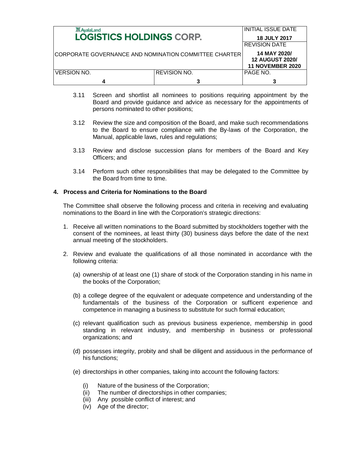| <b>XX AyalaLand</b><br><b>LOGISTICS HOLDINGS CORP.</b> |                     | INITIAL ISSUE DATE<br><b>18 JULY 2017</b>                         |
|--------------------------------------------------------|---------------------|-------------------------------------------------------------------|
|                                                        |                     | <b>REVISION DATE</b>                                              |
| CORPORATE GOVERNANCE AND NOMINATION COMMITTEE CHARTER  |                     | 14 MAY 2020/<br><b>12 AUGUST 2020/</b><br><b>11 NOVEMBER 2020</b> |
| <b>VERSION NO.</b>                                     | <b>REVISION NO.</b> | PAGE NO.                                                          |
| Δ                                                      |                     |                                                                   |

- 3.11 Screen and shortlist all nominees to positions requiring appointment by the Board and provide guidance and advice as necessary for the appointments of persons nominated to other positions;
- 3.12 Review the size and composition of the Board, and make such recommendations to the Board to ensure compliance with the By-laws of the Corporation, the Manual, applicable laws, rules and regulations;
- 3.13 Review and disclose succession plans for members of the Board and Key Officers; and
- 3.14 Perform such other responsibilities that may be delegated to the Committee by the Board from time to time.

## **4. Process and Criteria for Nominations to the Board**

The Committee shall observe the following process and criteria in receiving and evaluating nominations to the Board in line with the Corporation's strategic directions:

- 1. Receive all written nominations to the Board submitted by stockholders together with the consent of the nominees, at least thirty (30) business days before the date of the next annual meeting of the stockholders.
- 2. Review and evaluate the qualifications of all those nominated in accordance with the following criteria:
	- (a) ownership of at least one (1) share of stock of the Corporation standing in his name in the books of the Corporation;
	- (b) a college degree of the equivalent or adequate competence and understanding of the fundamentals of the business of the Corporation or sufficent experience and competence in managing a business to substitute for such formal education;
	- (c) relevant qualification such as previous business experience, membership in good standing in relevant industry, and membership in business or professional organizations; and
	- (d) possesses integrity, probity and shall be diligent and assiduous in the performance of his functions;
	- (e) directorships in other companies, taking into account the following factors:
		- (i) Nature of the business of the Corporation;
		- (ii) The number of directorships in other companies;
		- (iii) Any possible conflict of interest; and
		- (iv) Age of the director;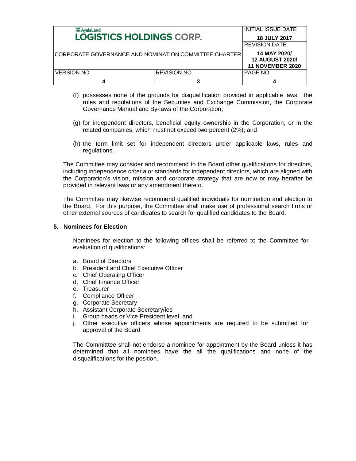| <b>XX</b> AyalaLand<br><b>LOGISTICS HOLDINGS CORP.</b> |                     | <b>INITIAL ISSUE DATE</b>                                         |
|--------------------------------------------------------|---------------------|-------------------------------------------------------------------|
|                                                        |                     | <b>18 JULY 2017</b>                                               |
|                                                        |                     | <b>REVISION DATE</b>                                              |
| CORPORATE GOVERNANCE AND NOMINATION COMMITTEE CHARTER  |                     | 14 MAY 2020/<br><b>12 AUGUST 2020/</b><br><b>11 NOVEMBER 2020</b> |
| <b>VERSION NO.</b>                                     | <b>REVISION NO.</b> | PAGE NO.                                                          |
| Δ                                                      |                     |                                                                   |

- (f) possesses none of the grounds for disqualification provided in applicable laws, the rules and regulations of the Securities and Exchange Commission, the Corporate Governance Manual and By-laws of the Corporation;
- (g) for independent directors, beneficial equity ownership in the Corporation, or in the related companies, which must not exceed two percent (2%); and
- (h) the term limit set for independent directors under applicable laws, rules and regulations.

The Committee may consider and recommend to the Board other qualifications for directors, including independence criteria or standards for independent directors, which are aligned with the Corporation's vision, mission and corporate strategy that are now or may herafter be provided in relevant laws or any amendment thereto.

The Committee may likewise recommend qualified individuals for nomination and election to the Board. For this purpose, the Committee shall make use of professional search firms or other external sources of candidates to search for qualified candidates to the Board.

#### **5. Nominees for Election**

Nominees for election to the following offices shall be referred to the Committee for evaluation of qualifications:

- a. Board of Directors
- b. President and Chief Executive Officer
- c. Chief Operating Officer
- d. Chief Finance Officer
- e. Treasurer
- f. Compliance Officer
- g. Corporate Secretary
- h. Assistant Corporate Secretary/ies
- i. Group heads or Vice President level, and
- j. Other executive officers whose appointments are required to be submitted for approval of the Board

The Committtee shall not endorse a nominee for appointment by the Board unless it has determined that all nominees have the all the qualifications and none of the disqualifications for the position.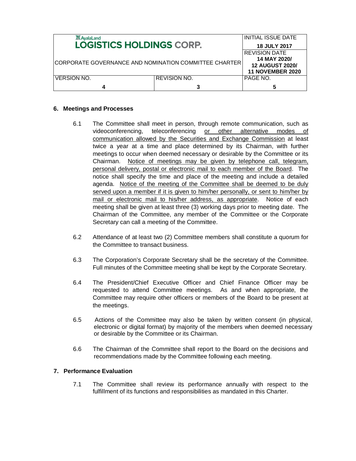| <b>XX</b> AyalaLand                                   |                         | IINITIAL ISSUE DATE |
|-------------------------------------------------------|-------------------------|---------------------|
| <b>LOGISTICS HOLDINGS CORP.</b>                       | <b>18 JULY 2017</b>     |                     |
|                                                       | <b>REVISION DATE</b>    |                     |
|                                                       | 14 MAY 2020/            |                     |
| CORPORATE GOVERNANCE AND NOMINATION COMMITTEE CHARTER | <b>12 AUGUST 2020/</b>  |                     |
|                                                       | <b>11 NOVEMBER 2020</b> |                     |
| <b>VERSION NO.</b>                                    | <b>REVISION NO.</b>     | PAGE NO.            |
|                                                       |                         |                     |

## **6. Meetings and Processes**

- 6.1 The Committee shall meet in person, through remote communication, such as videoconferencing, teleconferencing or other alternative modes of communication allowed by the Securities and Exchange Commission at least twice a year at a time and place determined by its Chairman, with further meetings to occur when deemed necessary or desirable by the Committee or its Chairman. Notice of meetings may be given by telephone call, telegram, personal delivery, postal or electronic mail to each member of the Board. The notice shall specify the time and place of the meeting and include a detailed agenda. Notice of the meeting of the Committee shall be deemed to be duly served upon a member if it is given to him/her personally, or sent to him/her by mail or electronic mail to his/her address, as appropriate. Notice of each meeting shall be given at least three (3) working days prior to meeting date. The Chairman of the Committee, any member of the Committee or the Corporate Secretary can call a meeting of the Committee.
- 6.2 Attendance of at least two (2) Committee members shall constitute a quorum for the Committee to transact business.
- 6.3 The Corporation's Corporate Secretary shall be the secretary of the Committee. Full minutes of the Committee meeting shall be kept by the Corporate Secretary.
- 6.4 The President/Chief Executive Officer and Chief Finance Officer may be requested to attend Committee meetings. As and when appropriate, the Committee may require other officers or members of the Board to be present at the meetings.
- 6.5 Actions of the Committee may also be taken by written consent (in physical, electronic or digital format) by majority of the members when deemed necessary or desirable by the Committee or its Chairman.
- 6.6 The Chairman of the Committee shall report to the Board on the decisions and recommendations made by the Committee following each meeting.

## **7. Performance Evaluation**

7.1 The Committee shall review its performance annually with respect to the fulfillment of its functions and responsibilities as mandated in this Charter.